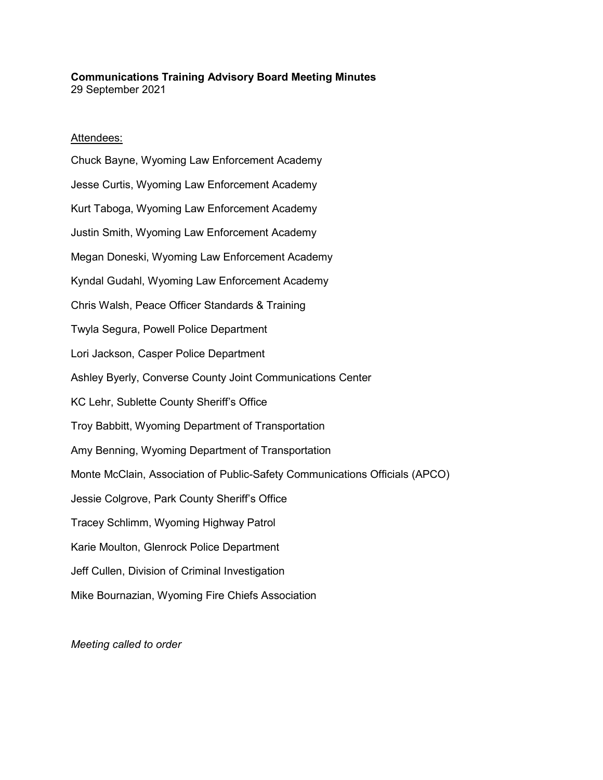#### **Communications Training Advisory Board Meeting Minutes** 29 September 2021

## Attendees:

Chuck Bayne, Wyoming Law Enforcement Academy Jesse Curtis, Wyoming Law Enforcement Academy Kurt Taboga, Wyoming Law Enforcement Academy Justin Smith, Wyoming Law Enforcement Academy Megan Doneski, Wyoming Law Enforcement Academy Kyndal Gudahl, Wyoming Law Enforcement Academy Chris Walsh, Peace Officer Standards & Training Twyla Segura, Powell Police Department Lori Jackson, Casper Police Department Ashley Byerly, Converse County Joint Communications Center KC Lehr, Sublette County Sheriff's Office Troy Babbitt, Wyoming Department of Transportation Amy Benning, Wyoming Department of Transportation Monte McClain, Association of Public-Safety Communications Officials (APCO) Jessie Colgrove, Park County Sheriff's Office Tracey Schlimm, Wyoming Highway Patrol Karie Moulton, Glenrock Police Department Jeff Cullen, Division of Criminal Investigation Mike Bournazian, Wyoming Fire Chiefs Association

*Meeting called to order*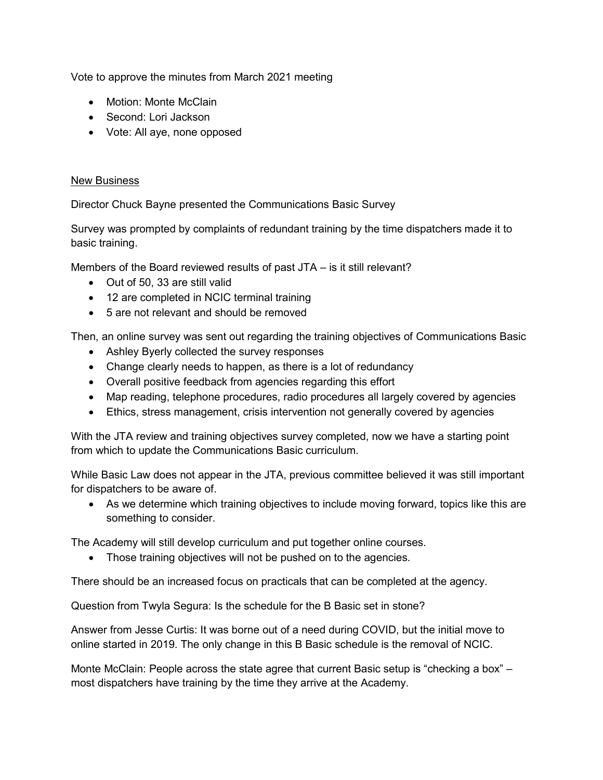Vote to approve the minutes from March 2021 meeting

- Motion: Monte McClain
- Second: Lori Jackson
- Vote: All aye, none opposed

# New Business

Director Chuck Bayne presented the Communications Basic Survey

Survey was prompted by complaints of redundant training by the time dispatchers made it to basic training.

Members of the Board reviewed results of past JTA – is it still relevant?

- Out of 50, 33 are still valid
- 12 are completed in NCIC terminal training
- 5 are not relevant and should be removed

Then, an online survey was sent out regarding the training objectives of Communications Basic

- Ashley Byerly collected the survey responses
- Change clearly needs to happen, as there is a lot of redundancy
- Overall positive feedback from agencies regarding this effort
- Map reading, telephone procedures, radio procedures all largely covered by agencies
- Ethics, stress management, crisis intervention not generally covered by agencies

With the JTA review and training objectives survey completed, now we have a starting point from which to update the Communications Basic curriculum.

While Basic Law does not appear in the JTA, previous committee believed it was still important for dispatchers to be aware of.

• As we determine which training objectives to include moving forward, topics like this are something to consider.

The Academy will still develop curriculum and put together online courses.

• Those training objectives will not be pushed on to the agencies.

There should be an increased focus on practicals that can be completed at the agency.

Question from Twyla Segura: Is the schedule for the B Basic set in stone?

Answer from Jesse Curtis: It was borne out of a need during COVID, but the initial move to online started in 2019. The only change in this B Basic schedule is the removal of NCIC.

Monte McClain: People across the state agree that current Basic setup is "checking a box" – most dispatchers have training by the time they arrive at the Academy.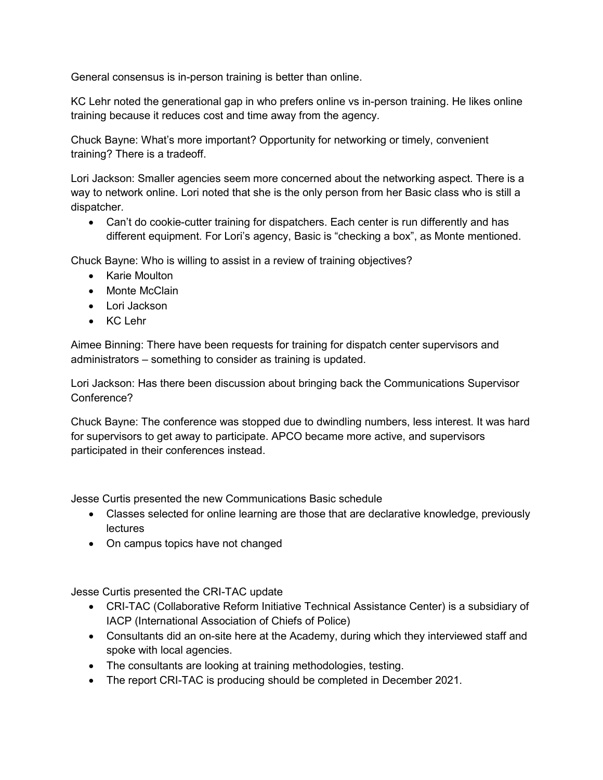General consensus is in-person training is better than online.

KC Lehr noted the generational gap in who prefers online vs in-person training. He likes online training because it reduces cost and time away from the agency.

Chuck Bayne: What's more important? Opportunity for networking or timely, convenient training? There is a tradeoff.

Lori Jackson: Smaller agencies seem more concerned about the networking aspect. There is a way to network online. Lori noted that she is the only person from her Basic class who is still a dispatcher.

• Can't do cookie-cutter training for dispatchers. Each center is run differently and has different equipment. For Lori's agency, Basic is "checking a box", as Monte mentioned.

Chuck Bayne: Who is willing to assist in a review of training objectives?

- Karie Moulton
- Monte McClain
- Lori Jackson
- KC Lehr

Aimee Binning: There have been requests for training for dispatch center supervisors and administrators – something to consider as training is updated.

Lori Jackson: Has there been discussion about bringing back the Communications Supervisor Conference?

Chuck Bayne: The conference was stopped due to dwindling numbers, less interest. It was hard for supervisors to get away to participate. APCO became more active, and supervisors participated in their conferences instead.

Jesse Curtis presented the new Communications Basic schedule

- Classes selected for online learning are those that are declarative knowledge, previously lectures
- On campus topics have not changed

Jesse Curtis presented the CRI-TAC update

- CRI-TAC (Collaborative Reform Initiative Technical Assistance Center) is a subsidiary of IACP (International Association of Chiefs of Police)
- Consultants did an on-site here at the Academy, during which they interviewed staff and spoke with local agencies.
- The consultants are looking at training methodologies, testing.
- The report CRI-TAC is producing should be completed in December 2021.